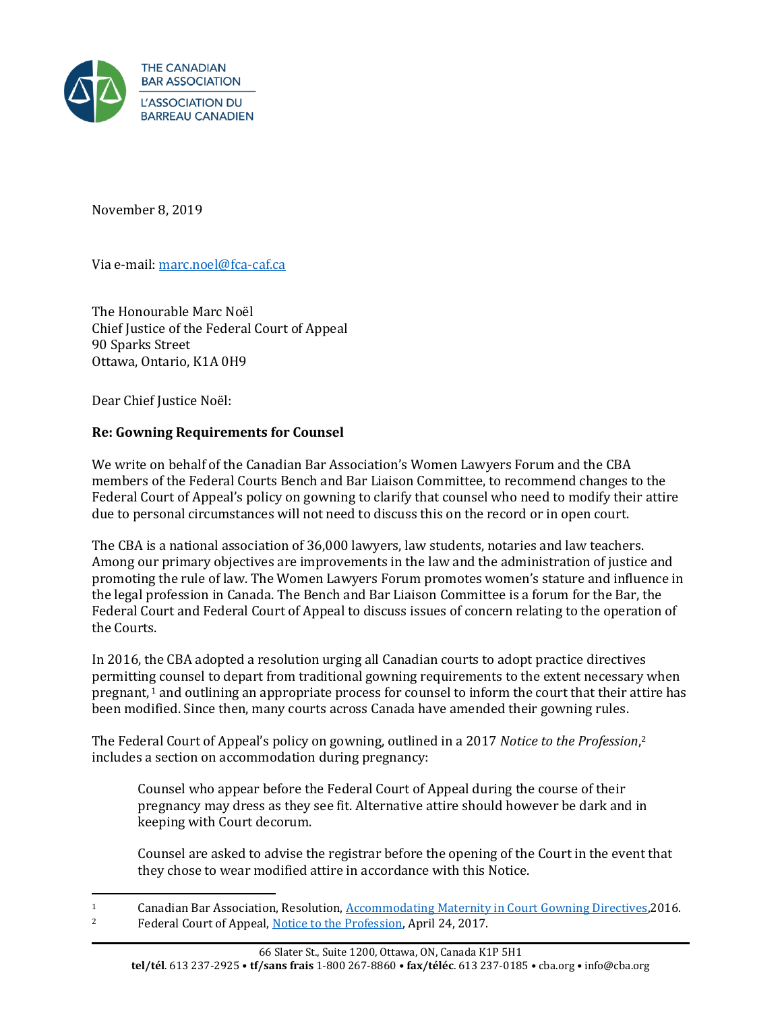

November 8, 2019

Via e-mail: marc.noel@fca-caf.ca

The Honourable Marc Noël Chief Justice of the Federal Court of Appeal 90 Sparks Street Ottawa, Ontario, K1A 0H9

Dear Chief Justice Noël:

# **Re: Gowning Requirements for Counsel**

We write on behalf of the Canadian Bar Association's Women Lawyers Forum and the CBA members of the Federal Courts Bench and Bar Liaison Committee, to recommend changes to the Federal Court of Appeal's policy on gowning to clarify that counsel who need to modify their attire due to personal circumstances will not need to discuss this on the record or in open court.

The CBA is a national association of 36,000 lawyers, law students, notaries and law teachers. Among our primary objectives are improvements in the law and the administration of justice and promoting the rule of law. The Women Lawyers Forum promotes women's stature and influence in the legal profession in Canada. The Bench and Bar Liaison Committee is a forum for the Bar, the Federal Court and Federal Court of Appeal to discuss issues of concern relating to the operation of the Courts.

In 2016, the CBA adopted a resolution urging all Canadian courts to adopt practice directives permitting counsel to depart from traditional gowning requirements to the extent necessary when pregnant, <sup>1</sup> and outlining an appropriate process for counsel to inform the court that their attire has been modified. Since then, many courts across Canada have amended their gowning rules.

The Federal Court of Appeal's policy on gowning, outlined in a 2017 *Notice to the Profession*, 2 includes a section on accommodation during pregnancy:

Counsel who appear before the Federal Court of Appeal during the course of their pregnancy may dress as they see fit. Alternative attire should however be dark and in keeping with Court decorum.

Counsel are asked to advise the registrar before the opening of the Court in the event that they chose to wear modified attire in accordance with this Notice.

<sup>&</sup>lt;sup>1</sup> Canadian Bar Association, Resolution, <u>Accommodating Maternity in Court Gowning Directives</u>, 2016.<br><sup>2</sup> Eederal Court of Anneal Notice to the Profession, April 24, 2017. <sup>2</sup> Federal Court of Appeal[, Notice to the Profession,](https://www.fca-caf.gc.ca/fca-caf/pdf/NOTICE_TO_THE_PROFESSION_-_Gowning.pdf) April 24, 2017.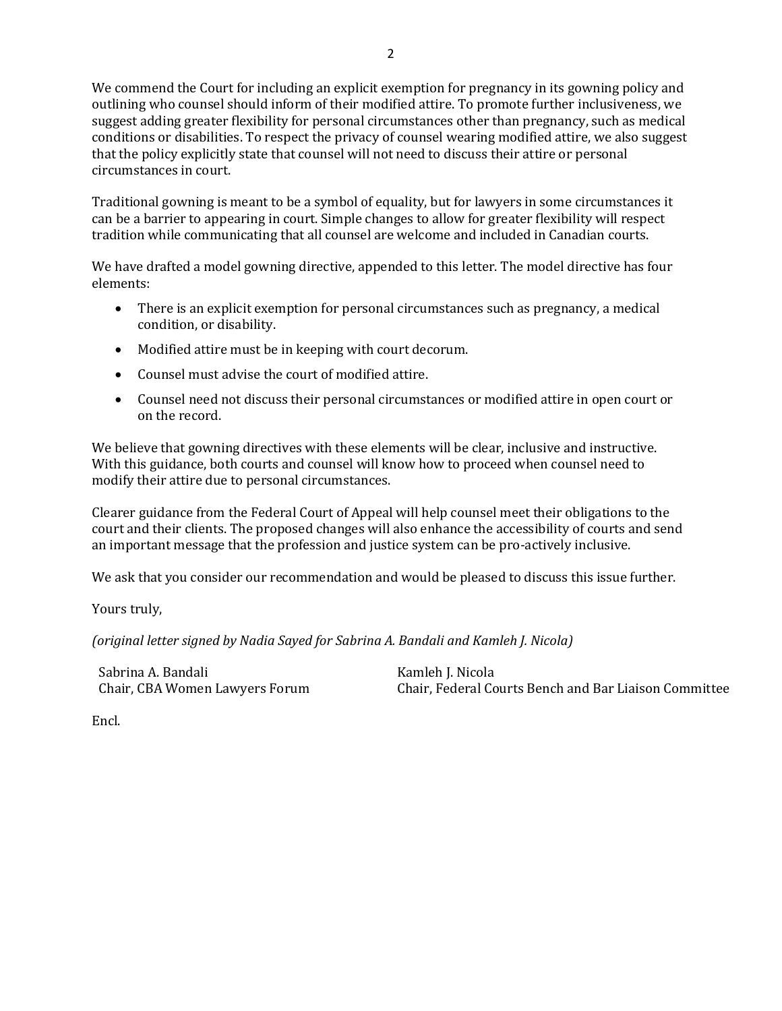We commend the Court for including an explicit exemption for pregnancy in its gowning policy and outlining who counsel should inform of their modified attire. To promote further inclusiveness, we suggest adding greater flexibility for personal circumstances other than pregnancy, such as medical conditions or disabilities. To respect the privacy of counsel wearing modified attire, we also suggest that the policy explicitly state that counsel will not need to discuss their attire or personal circumstances in court.

Traditional gowning is meant to be a symbol of equality, but for lawyers in some circumstances it can be a barrier to appearing in court. Simple changes to allow for greater flexibility will respect tradition while communicating that all counsel are welcome and included in Canadian courts.

We have drafted a model gowning directive, appended to this letter. The model directive has four elements:

- There is an explicit exemption for personal circumstances such as pregnancy, a medical condition, or disability.
- Modified attire must be in keeping with court decorum.
- Counsel must advise the court of modified attire.
- Counsel need not discuss their personal circumstances or modified attire in open court or on the record.

We believe that gowning directives with these elements will be clear, inclusive and instructive. With this guidance, both courts and counsel will know how to proceed when counsel need to modify their attire due to personal circumstances.

Clearer guidance from the Federal Court of Appeal will help counsel meet their obligations to the court and their clients. The proposed changes will also enhance the accessibility of courts and send an important message that the profession and justice system can be pro-actively inclusive.

We ask that you consider our recommendation and would be pleased to discuss this issue further.

Yours truly,

*(original letter signed by Nadia Sayed for Sabrina A. Bandali and Kamleh J. Nicola)*

Sabrina A. Bandali Chair, CBA Women Lawyers Forum Kamleh J. Nicola Chair, Federal Courts Bench and Bar Liaison Committee

Encl.